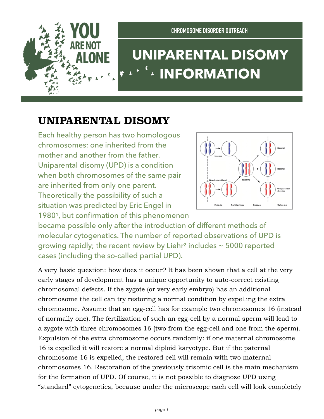

## **UNIPARENTAL DISOMY INFORMATION**

## **UNIPARENTAL DISOMY**

Each healthy person has two homologous chromosomes: one inherited from the mother and another from the father. Uniparental disomy (UPD) is a condition when both chromosomes of the same pair are inherited from only one parent. Theoretically the possibility of such a situation was predicted by Eric Engel in 19801, but confirmation of this phenomenon



became possible only after the introduction of different methods of molecular cytogenetics. The number of reported observations of UPD is growing rapidly; the recent review by Liehr<sup>2</sup> includes  $\sim$  5000 reported cases (including the so-called partial UPD).

A very basic question: how does it occur? It has been shown that a cell at the very early stages of development has a unique opportunity to auto-correct existing chromosomal defects. If the zygote (or very early embryo) has an additional chromosome the cell can try restoring a normal condition by expelling the extra chromosome. Assume that an egg-cell has for example two chromosomes 16 (instead of normally one). The fertilization of such an egg-cell by a normal sperm will lead to a zygote with three chromosomes 16 (two from the egg-cell and one from the sperm). Expulsion of the extra chromosome occurs randomly: if one maternal chromosome 16 is expelled it will restore a normal diploid karyotype. But if the paternal chromosome 16 is expelled, the restored cell will remain with two maternal chromosomes 16. Restoration of the previously trisomic cell is the main mechanism for the formation of UPD. Of course, it is not possible to diagnose UPD using "standard" cytogenetics, because under the microscope each cell will look completely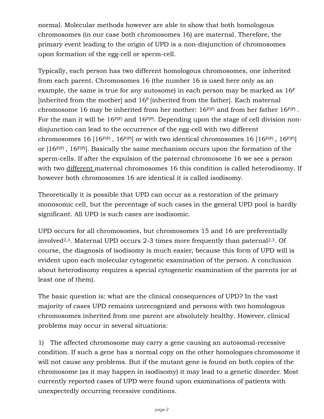normal. Molecular methods however are able to show that both homologous chromosomes (in our case both chromosomes 16) are maternal. Therefore, the primary event leading to the origin of UPD is a non-disjunction of chromosomes upon formation of the egg-cell or sperm-cell.

Typically, each person has two different homologous chromosomes, one inherited from each parent. Chromosomes 16 (the number 16 is used here only as an example, the same is true for any autosome) in each person may be marked as  $16<sup>F</sup>$ [inherited from the mother] and 16<sup>P</sup> [inherited from the father]. Each maternal chromosome 16 may be inherited from her mother:  $16^{F(F)}$  and from her father  $16^{F(P)}$ . For the man it will be  $16P(F)$  and  $16P(F)$ . Depending upon the stage of cell division nondisjunction can lead to the occurrence of the egg-cell with two different chromosomes 16 [16 $F(F)$ , 16 $F(P)$ ] or with two identical chromosomes 16 [16 $F(F)$ , 16 $F(F)$ ] or  $[16F(P), 16F(P)]$ . Basically the same mechanism occurs upon the formation of the sperm-cells. If after the expulsion of the paternal chromosome 16 we see a person with two different maternal chromosomes 16 this condition is called heterodisomy. If however both chromosomes 16 are identical it is called isodisomy.

Theoretically it is possible that UPD can occur as a restoration of the primary monosomic cell, but the percentage of such cases in the general UPD pool is hardly significant. All UPD is such cases are isodisomic.

UPD occurs for all chromosomes, but chromosomes 15 and 16 are preferentially involved2,3. Maternal UPD occurs 2-3 times more frequently than paternal2,3. Of course, the diagnosis of isodisomy is much easier, because this form of UPD will is evident upon each molecular cytogenetic examination of the person. A conclusion about heterodisomy requires a special cytogenetic examination of the parents (or at least one of them).

The basic question is: what are the clinical consequences of UPD? In the vast majority of cases UPD remains unrecognized and persons with two homologous chromosomes inherited from one parent are absolutely healthy. However, clinical problems may occur in several situations:

1) The affected chromosome may carry a gene causing an autosomal-recessive condition. If such a gene has a normal copy on the other homologues chromosome it will not cause any problems. But if the mutant gene is found on both copies of the chromosome (as it may happen in isodisomy) it may lead to a genetic disorder. Most currently reported cases of UPD were found upon examinations of patients with unexpectedly occurring recessive conditions.